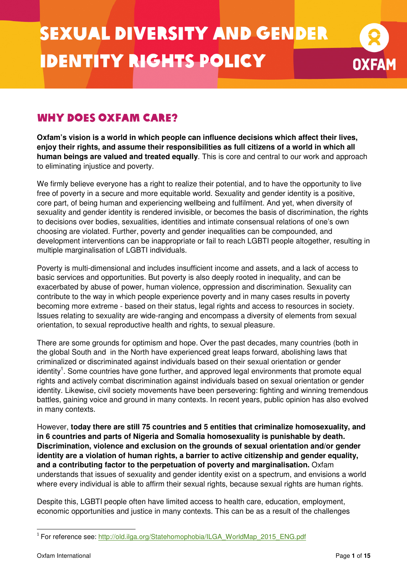

## Why does Oxfam care?

**Oxfam's vision is a world in which people can influence decisions which affect their lives, enjoy their rights, and assume their responsibilities as full citizens of a world in which all human beings are valued and treated equally**. This is core and central to our work and approach to eliminating injustice and poverty.

We firmly believe everyone has a right to realize their potential, and to have the opportunity to live free of poverty in a secure and more equitable world. Sexuality and gender identity is a positive, core part, of being human and experiencing wellbeing and fulfilment. And yet, when diversity of sexuality and gender identity is rendered invisible, or becomes the basis of discrimination, the rights to decisions over bodies, sexualities, identities and intimate consensual relations of one's own choosing are violated. Further, poverty and gender inequalities can be compounded, and development interventions can be inappropriate or fail to reach LGBTI people altogether, resulting in multiple marginalisation of LGBTI individuals.

Poverty is multi-dimensional and includes insufficient income and assets, and a lack of access to basic services and opportunities. But poverty is also deeply rooted in inequality, and can be exacerbated by abuse of power, human violence, oppression and discrimination. Sexuality can contribute to the way in which people experience poverty and in many cases results in poverty becoming more extreme - based on their status, legal rights and access to resources in society. Issues relating to sexuality are wide-ranging and encompass a diversity of elements from sexual orientation, to sexual reproductive health and rights, to sexual pleasure.

There are some grounds for optimism and hope. Over the past decades, many countries (both in the global South and in the North have experienced great leaps forward, abolishing laws that criminalized or discriminated against individuals based on their sexual orientation or gender identity<sup>1</sup>. Some countries have gone further, and approved legal environments that promote equal rights and actively combat discrimination against individuals based on sexual orientation or gender identity. Likewise, civil society movements have been persevering: fighting and winning tremendous battles, gaining voice and ground in many contexts. In recent years, public opinion has also evolved in many contexts.

However, **today there are still 75 countries and 5 entities that criminalize homosexuality, and in 6 countries and parts of Nigeria and Somalia homosexuality is punishable by death. Discrimination, violence and exclusion on the grounds of sexual orientation and/or gender identity are a violation of human rights, a barrier to active citizenship and gender equality, and a contributing factor to the perpetuation of poverty and marginalisation.** Oxfam understands that issues of sexuality and gender identity exist on a spectrum, and envisions a world where every individual is able to affirm their sexual rights, because sexual rights are human rights.

Despite this, LGBTI people often have limited access to health care, education, employment, economic opportunities and justice in many contexts. This can be as a result of the challenges

 $\overline{a}$ <sup>1</sup> For reference see: http://old.ilga.org/Statehomophobia/ILGA\_WorldMap\_2015\_ENG.pdf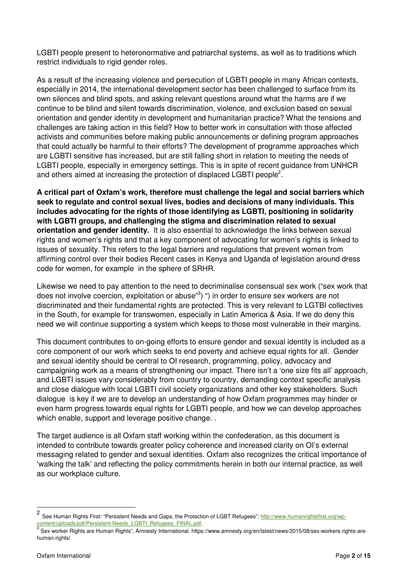LGBTI people present to heteronormative and patriarchal systems, as well as to traditions which restrict individuals to rigid gender roles.

As a result of the increasing violence and persecution of LGBTI people in many African contexts, especially in 2014, the international development sector has been challenged to surface from its own silences and blind spots, and asking relevant questions around what the harms are if we continue to be blind and silent towards discrimination, violence, and exclusion based on sexual orientation and gender identity in development and humanitarian practice? What the tensions and challenges are taking action in this field? How to better work in consultation with those affected activists and communities before making public announcements or defining program approaches that could actually be harmful to their efforts? The development of programme approaches which are LGBTI sensitive has increased, but are still falling short in relation to meeting the needs of LGBTI people, especially in emergency settings. This is in spite of recent guidance from UNHCR and others aimed at increasing the protection of displaced LGBTI people<sup>2</sup>.

**A critical part of Oxfam's work, therefore must challenge the legal and social barriers which seek to regulate and control sexual lives, bodies and decisions of many individuals. This includes advocating for the rights of those identifying as LGBTI, positioning in solidarity with LGBTI groups, and challenging the stigma and discrimination related to sexual orientation and gender identity.** It is also essential to acknowledge the links between sexual rights and women's rights and that a key component of advocating for women's rights is linked to issues of sexuality. This refers to the legal barriers and regulations that prevent women from affirming control over their bodies Recent cases in Kenya and Uganda of legislation around dress code for women, for example in the sphere of SRHR.

Likewise we need to pay attention to the need to decriminalise consensual sex work ("sex work that does not involve coercion, exploitation or abuse"<sup>3</sup>) ") in order to ensure sex workers are not discriminated and their fundamental rights are protected. This is very relevant to LGTBI collectives in the South, for example for transwomen, especially in Latin America & Asia. If we do deny this need we will continue supporting a system which keeps to those most vulnerable in their margins.

This document contributes to on-going efforts to ensure gender and sexual identity is included as a core component of our work which seeks to end poverty and achieve equal rights for all. Gender and sexual identity should be central to OI research, programming, policy, advocacy and campaigning work as a means of strengthening our impact. There isn't a 'one size fits all' approach, and LGBTI issues vary considerably from country to country, demanding context specific analysis and close dialogue with local LGBTI civil society organizations and other key stakeholders. Such dialogue is key if we are to develop an understanding of how Oxfam programmes may hinder or even harm progress towards equal rights for LGBTI people, and how we can develop approaches which enable, support and leverage positive change...

The target audience is all Oxfam staff working within the confederation, as this document is intended to contribute towards greater policy coherence and increased clarity on OI's external messaging related to gender and sexual identities. Oxfam also recognizes the critical importance of 'walking the talk' and reflecting the policy commitments herein in both our internal practice, as well as our workplace culture.

 $\frac{1}{2}$ See Human Rights First: "Persistent Needs and Gaps, the Protection of LGBT Refugees": http://www.humanrightsfirst.org/wpcontent/uploads/pdf/Persistent-Needs\_LGBTI\_Refugees\_FINAL.pdf. 3

Sex worker Rights are Human Rights", Amnesty International. https://www.amnesty.org/en/latest/news/2015/08/sex-workers-rights-arehuman-rights/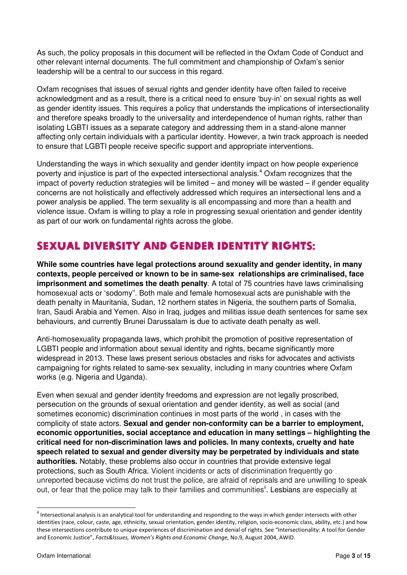As such, the policy proposals in this document will be reflected in the Oxfam Code of Conduct and other relevant internal documents. The full commitment and championship of Oxfam's senior leadership will be a central to our success in this regard.

Oxfam recognises that issues of sexual rights and gender identity have often failed to receive acknowledgment and as a result, there is a critical need to ensure 'buy-in' on sexual rights as well as gender identity issues. This requires a policy that understands the implications of intersectionality and therefore speaks broadly to the universality and interdependence of human rights, rather than isolating LGBTI issues as a separate category and addressing them in a stand-alone manner affecting only certain individuals with a particular identity. However, a twin track approach is needed to ensure that LGBTI people receive specific support and appropriate interventions.

Understanding the ways in which sexuality and gender identity impact on how people experience poverty and injustice is part of the expected intersectional analysis.<sup>4</sup> Oxfam recognizes that the impact of poverty reduction strategies will be limited – and money will be wasted – if gender equality concerns are not holistically and effectively addressed which requires an intersectional lens and a power analysis be applied. The term sexuality is all encompassing and more than a health and violence issue. Oxfam is willing to play a role in progressing sexual orientation and gender identity as part of our work on fundamental rights across the globe.

# Sexual Diversity and Gender Identity Rights:

**While some countries have legal protections around sexuality and gender identity, in many contexts, people perceived or known to be in same-sex relationships are criminalised, face imprisonment and sometimes the death penalty**. A total of 75 countries have laws criminalising homosexual acts or 'sodomy'<sup>i</sup>. Both male and female homosexual acts are punishable with the death penalty in Mauritania, Sudan, 12 northern states in Nigeria, the southern parts of Somalia, Iran, Saudi Arabia and Yemen. Also in Iraq, judges and militias issue death sentences for same sex behaviours, and currently Brunei Darussalam is due to activate death penalty as well.

Anti-homosexuality propaganda laws, which prohibit the promotion of positive representation of LGBTI people and information about sexual identity and rights, became significantly more widespread in 2013. These laws present serious obstacles and risks for advocates and activists campaigning for rights related to same-sex sexuality, including in many countries where Oxfam works (e.g. Nigeria and Uganda).

Even when sexual and gender identity freedoms and expression are not legally proscribed, persecution on the grounds of sexual orientation and gender identity, as well as social (and sometimes economic) discrimination continues in most parts of the world , in cases with the complicity of state actors. **Sexual and gender non-conformity can be a barrier to employment, economic opportunities, social acceptance and education in many settings – highlighting the critical need for non-discrimination laws and policies. In many contexts, cruelty and hate speech related to sexual and gender diversity may be perpetrated by individuals and state authorities.** Notably, these problems also occur in countries that provide extensive legal protections, such as South Africa. Violent incidents or acts of discrimination frequently go unreported because victims do not trust the police, are afraid of reprisals and are unwilling to speak out, or fear that the police may talk to their families and communities<sup>ii</sup>. Lesbians are especially at

 $\overline{a}$ 

<sup>&</sup>lt;sup>4</sup> Intersectional analysis is an analytical tool for understanding and responding to the ways in which gender intersects with other identities (race, colour, caste, age, ethnicity, sexual orientation, gender identity, religion, socio-economic class, ability, etc.) and how these intersections contribute to unique experiences of discrimination and denial of rights. See "Intersectionality: A tool for Gender and Economic Justice", Facts&Issues, Women's Rights and Economic Change, No.9, August 2004, AWID.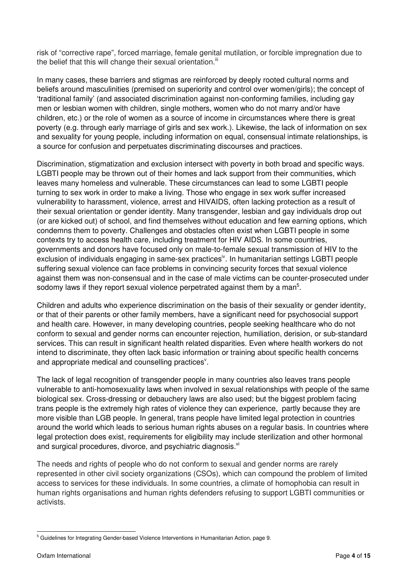risk of "corrective rape", forced marriage, female genital mutilation, or forcible impregnation due to the belief that this will change their sexual orientation. $iiii$ 

In many cases, these barriers and stigmas are reinforced by deeply rooted cultural norms and beliefs around masculinities (premised on superiority and control over women/girls); the concept of 'traditional family' (and associated discrimination against non-conforming families, including gay men or lesbian women with children, single mothers, women who do not marry and/or have children, etc.) or the role of women as a source of income in circumstances where there is great poverty (e.g. through early marriage of girls and sex work.). Likewise, the lack of information on sex and sexuality for young people, including information on equal, consensual intimate relationships, is a source for confusion and perpetuates discriminating discourses and practices.

Discrimination, stigmatization and exclusion intersect with poverty in both broad and specific ways. LGBTI people may be thrown out of their homes and lack support from their communities, which leaves many homeless and vulnerable. These circumstances can lead to some LGBTI people turning to sex work in order to make a living. Those who engage in sex work suffer increased vulnerability to harassment, violence, arrest and HIVAIDS, often lacking protection as a result of their sexual orientation or gender identity. Many transgender, lesbian and gay individuals drop out (or are kicked out) of school, and find themselves without education and few earning options, which condemns them to poverty. Challenges and obstacles often exist when LGBTI people in some contexts try to access health care, including treatment for HIV AIDS. In some countries, governments and donors have focused only on male-to-female sexual transmission of HIV to the exclusion of individuals engaging in same-sex practices<sup>iv</sup>. In humanitarian settings LGBTI people suffering sexual violence can face problems in convincing security forces that sexual violence against them was non-consensual and in the case of male victims can be counter-prosecuted under sodomy laws if they report sexual violence perpetrated against them by a man<sup>5</sup>.

Children and adults who experience discrimination on the basis of their sexuality or gender identity, or that of their parents or other family members, have a significant need for psychosocial support and health care. However, in many developing countries, people seeking healthcare who do not conform to sexual and gender norms can encounter rejection, humiliation, derision, or sub-standard services. This can result in significant health related disparities. Even where health workers do not intend to discriminate, they often lack basic information or training about specific health concerns and appropriate medical and counselling practices<sup>v</sup>.

The lack of legal recognition of transgender people in many countries also leaves trans people vulnerable to anti-homosexuality laws when involved in sexual relationships with people of the same biological sex. Cross-dressing or debauchery laws are also used; but the biggest problem facing trans people is the extremely high rates of violence they can experience, partly because they are more visible than LGB people. In general, trans people have limited legal protection in countries around the world which leads to serious human rights abuses on a regular basis. In countries where legal protection does exist, requirements for eligibility may include sterilization and other hormonal and surgical procedures, divorce, and psychiatric diagnosis.<sup>vi</sup>

The needs and rights of people who do not conform to sexual and gender norms are rarely represented in other civil society organizations (CSOs), which can compound the problem of limited access to services for these individuals. In some countries, a climate of homophobia can result in human rights organisations and human rights defenders refusing to support LGBTI communities or activists.

 5 Guidelines for Integrating Gender-based Violence Interventions in Humanitarian Action, page 9.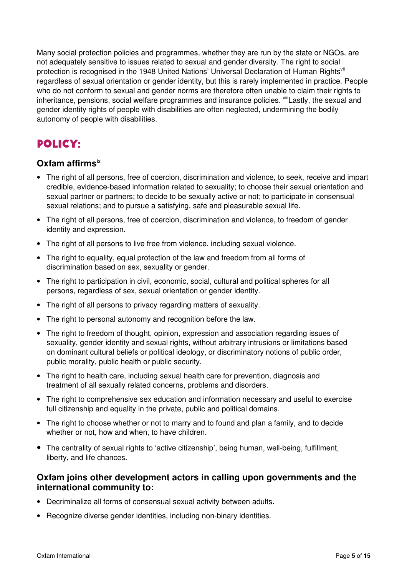Many social protection policies and programmes, whether they are run by the state or NGOs, are not adequately sensitive to issues related to sexual and gender diversity. The right to social protection is recognised in the 1948 United Nations' Universal Declaration of Human Rights<sup>vii</sup> regardless of sexual orientation or gender identity, but this is rarely implemented in practice. People who do not conform to sexual and gender norms are therefore often unable to claim their rights to inheritance, pensions, social welfare programmes and insurance policies. Vill Lastly, the sexual and gender identity rights of people with disabilities are often neglected, undermining the bodily autonomy of people with disabilities.

# Policy:

### **Oxfam affirmsix**

- The right of all persons, free of coercion, discrimination and violence, to seek, receive and impart credible, evidence-based information related to sexuality; to choose their sexual orientation and sexual partner or partners; to decide to be sexually active or not; to participate in consensual sexual relations; and to pursue a satisfying, safe and pleasurable sexual life.
- The right of all persons, free of coercion, discrimination and violence, to freedom of gender identity and expression.
- The right of all persons to live free from violence, including sexual violence.
- The right to equality, equal protection of the law and freedom from all forms of discrimination based on sex, sexuality or gender.
- The right to participation in civil, economic, social, cultural and political spheres for all persons, regardless of sex, sexual orientation or gender identity.
- The right of all persons to privacy regarding matters of sexuality.
- The right to personal autonomy and recognition before the law.
- The right to freedom of thought, opinion, expression and association regarding issues of sexuality, gender identity and sexual rights, without arbitrary intrusions or limitations based on dominant cultural beliefs or political ideology, or discriminatory notions of public order, public morality, public health or public security.
- The right to health care, including sexual health care for prevention, diagnosis and treatment of all sexually related concerns, problems and disorders.
- The right to comprehensive sex education and information necessary and useful to exercise full citizenship and equality in the private, public and political domains.
- The right to choose whether or not to marry and to found and plan a family, and to decide whether or not, how and when, to have children.
- The centrality of sexual rights to 'active citizenship', being human, well-being, fulfillment, liberty, and life chances.

#### **Oxfam joins other development actors in calling upon governments and the international community to:**

- Decriminalize all forms of consensual sexual activity between adults.
- Recognize diverse gender identities, including non-binary identities.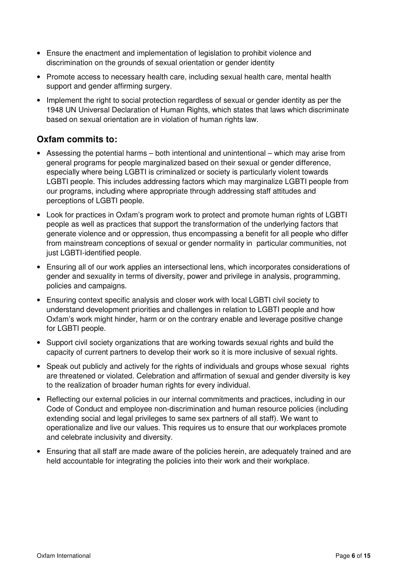- Ensure the enactment and implementation of legislation to prohibit violence and discrimination on the grounds of sexual orientation or gender identity
- Promote access to necessary health care, including sexual health care, mental health support and gender affirming surgery.
- Implement the right to social protection regardless of sexual or gender identity as per the 1948 UN Universal Declaration of Human Rights, which states that laws which discriminate based on sexual orientation are in violation of human rights law.

### **Oxfam commits to:**

- Assessing the potential harms both intentional and unintentional which may arise from general programs for people marginalized based on their sexual or gender difference, especially where being LGBTI is criminalized or society is particularly violent towards LGBTI people. This includes addressing factors which may marginalize LGBTI people from our programs, including where appropriate through addressing staff attitudes and perceptions of LGBTI people.
- Look for practices in Oxfam's program work to protect and promote human rights of LGBTI people as well as practices that support the transformation of the underlying factors that generate violence and or oppression, thus encompassing a benefit for all people who differ from mainstream conceptions of sexual or gender normality in particular communities, not just LGBTI-identified people.
- Ensuring all of our work applies an intersectional lens, which incorporates considerations of gender and sexuality in terms of diversity, power and privilege in analysis, programming, policies and campaigns.
- Ensuring context specific analysis and closer work with local LGBTI civil society to understand development priorities and challenges in relation to LGBTI people and how Oxfam's work might hinder, harm or on the contrary enable and leverage positive change for LGBTI people.
- Support civil society organizations that are working towards sexual rights and build the capacity of current partners to develop their work so it is more inclusive of sexual rights.
- Speak out publicly and actively for the rights of individuals and groups whose sexual rights are threatened or violated. Celebration and affirmation of sexual and gender diversity is key to the realization of broader human rights for every individual.
- Reflecting our external policies in our internal commitments and practices, including in our Code of Conduct and employee non-discrimination and human resource policies (including extending social and legal privileges to same sex partners of all staff). We want to operationalize and live our values. This requires us to ensure that our workplaces promote and celebrate inclusivity and diversity.
- Ensuring that all staff are made aware of the policies herein, are adequately trained and are held accountable for integrating the policies into their work and their workplace.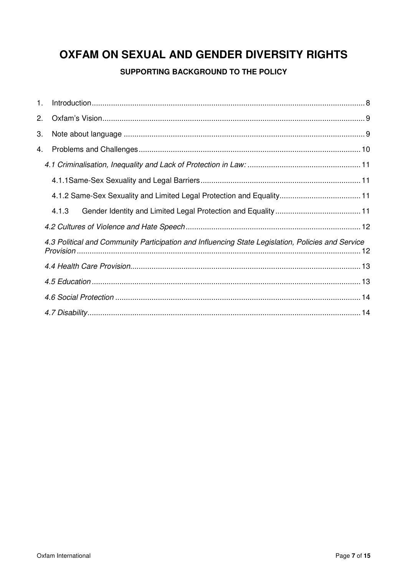# OXFAM ON SEXUAL AND GENDER DIVERSITY RIGHTS

### SUPPORTING BACKGROUND TO THE POLICY

| 1. |                                                                                                   |  |
|----|---------------------------------------------------------------------------------------------------|--|
| 2. |                                                                                                   |  |
| 3. |                                                                                                   |  |
| 4. |                                                                                                   |  |
|    |                                                                                                   |  |
|    |                                                                                                   |  |
|    |                                                                                                   |  |
|    | 4.1.3                                                                                             |  |
|    |                                                                                                   |  |
|    | 4.3 Political and Community Participation and Influencing State Legislation, Policies and Service |  |
|    |                                                                                                   |  |
|    |                                                                                                   |  |
|    |                                                                                                   |  |
|    |                                                                                                   |  |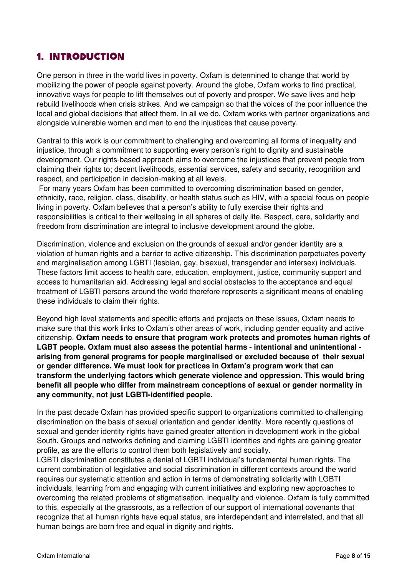## 1. Introduction

One person in three in the world lives in poverty. Oxfam is determined to change that world by mobilizing the power of people against poverty. Around the globe, Oxfam works to find practical, innovative ways for people to lift themselves out of poverty and prosper. We save lives and help rebuild livelihoods when crisis strikes. And we campaign so that the voices of the poor influence the local and global decisions that affect them. In all we do, Oxfam works with partner organizations and alongside vulnerable women and men to end the injustices that cause poverty.

Central to this work is our commitment to challenging and overcoming all forms of inequality and injustice, through a commitment to supporting every person's right to dignity and sustainable development. Our rights-based approach aims to overcome the injustices that prevent people from claiming their rights to; decent livelihoods, essential services, safety and security, recognition and respect, and participation in decision-making at all levels.

 For many years Oxfam has been committed to overcoming discrimination based on gender, ethnicity, race, religion, class, disability, or health status such as HIV, with a special focus on people living in poverty. Oxfam believes that a person's ability to fully exercise their rights and responsibilities is critical to their wellbeing in all spheres of daily life. Respect, care, solidarity and freedom from discrimination are integral to inclusive development around the globe.

Discrimination, violence and exclusion on the grounds of sexual and/or gender identity are a violation of human rights and a barrier to active citizenship. This discrimination perpetuates poverty and marginalisation among LGBTI (lesbian, gay, bisexual, transgender and intersex) individuals. These factors limit access to health care, education, employment, justice, community support and access to humanitarian aid. Addressing legal and social obstacles to the acceptance and equal treatment of LGBTI persons around the world therefore represents a significant means of enabling these individuals to claim their rights.

Beyond high level statements and specific efforts and projects on these issues, Oxfam needs to make sure that this work links to Oxfam's other areas of work, including gender equality and active citizenship. **Oxfam needs to ensure that program work protects and promotes human rights of LGBT people. Oxfam must also assess the potential harms - intentional and unintentional arising from general programs for people marginalised or excluded because of their sexual or gender difference. We must look for practices in Oxfam's program work that can transform the underlying factors which generate violence and oppression. This would bring benefit all people who differ from mainstream conceptions of sexual or gender normality in any community, not just LGBTI-identified people.**

In the past decade Oxfam has provided specific support to organizations committed to challenging discrimination on the basis of sexual orientation and gender identity. More recently questions of sexual and gender identity rights have gained greater attention in development work in the global South. Groups and networks defining and claiming LGBTI identities and rights are gaining greater profile, as are the efforts to control them both legislatively and socially.

LGBTI discrimination constitutes a denial of LGBTI individual's fundamental human rights. The current combination of legislative and social discrimination in different contexts around the world requires our systematic attention and action in terms of demonstrating solidarity with LGBTI individuals, learning from and engaging with current initiatives and exploring new approaches to overcoming the related problems of stigmatisation, inequality and violence. Oxfam is fully committed to this, especially at the grassroots, as a reflection of our support of international covenants that recognize that all human rights have equal status, are interdependent and interrelated, and that all human beings are born free and equal in dignity and rights.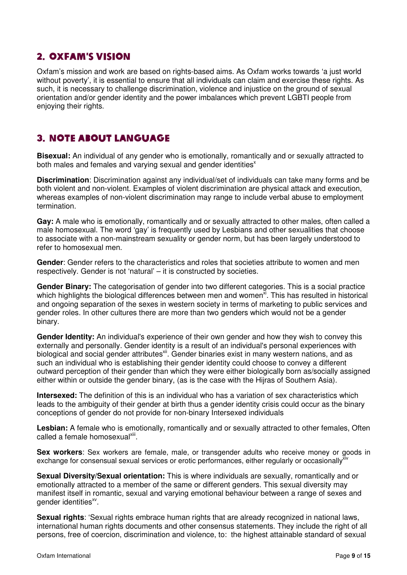## 2. Oxfam's Vision

Oxfam's mission and work are based on rights-based aims. As Oxfam works towards 'a just world without poverty', it is essential to ensure that all individuals can claim and exercise these rights. As such, it is necessary to challenge discrimination, violence and injustice on the ground of sexual orientation and/or gender identity and the power imbalances which prevent LGBTI people from enjoying their rights.

## 3. Note about language

**Bisexual:** An individual of any gender who is emotionally, romantically and or sexually attracted to both males and females and varying sexual and gender identities<sup>x</sup>

**Discrimination**: Discrimination against any individual/set of individuals can take many forms and be both violent and non-violent. Examples of violent discrimination are physical attack and execution, whereas examples of non-violent discrimination may range to include verbal abuse to employment termination.

**Gay:** A male who is emotionally, romantically and or sexually attracted to other males, often called a male homosexual. The word 'gay' is frequently used by Lesbians and other sexualities that choose to associate with a non-mainstream sexuality or gender norm, but has been largely understood to refer to homosexual men.

**Gender**: Gender refers to the characteristics and roles that societies attribute to women and men respectively. Gender is not 'natural' – it is constructed by societies.

**Gender Binary:** The categorisation of gender into two different categories. This is a social practice which highlights the biological differences between men and women<sup>xi</sup>. This has resulted in historical and ongoing separation of the sexes in western society in terms of marketing to public services and gender roles. In other cultures there are more than two genders which would not be a gender binary.

**Gender Identity:** An individual's experience of their own gender and how they wish to convey this externally and personally. Gender identity is a result of an individual's personal experiences with biological and social gender attributes<sup>xii</sup>. Gender binaries exist in many western nations, and as such an individual who is establishing their gender identity could choose to convey a different outward perception of their gender than which they were either biologically born as/socially assigned either within or outside the gender binary, (as is the case with the Hijras of Southern Asia).

**Intersexed:** The definition of this is an individual who has a variation of sex characteristics which leads to the ambiguity of their gender at birth thus a gender identity crisis could occur as the binary conceptions of gender do not provide for non-binary Intersexed individuals

**Lesbian:** A female who is emotionally, romantically and or sexually attracted to other females, Often called a female homosexual<sup>xiii</sup>.

**Sex workers**: Sex workers are female, male, or transgender adults who receive money or goods in exchange for consensual sexual services or erotic performances, either regularly or occasionally<sup>xiv</sup>

**Sexual Diversity/Sexual orientation:** This is where individuals are sexually, romantically and or emotionally attracted to a member of the same or different genders. This sexual diversity may manifest itself in romantic, sexual and varying emotional behaviour between a range of sexes and gender identities<sup>xv</sup>.

**Sexual rights**: 'Sexual rights embrace human rights that are already recognized in national laws, international human rights documents and other consensus statements. They include the right of all persons, free of coercion, discrimination and violence, to: the highest attainable standard of sexual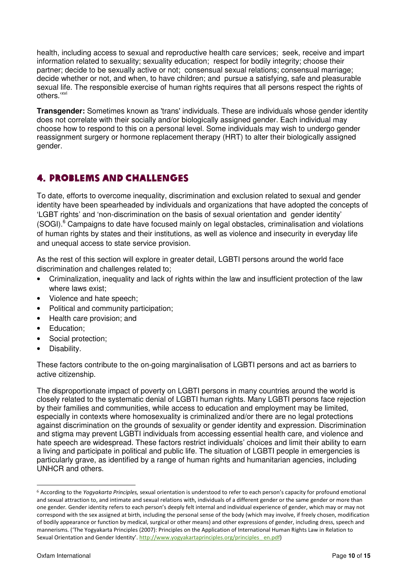health, including access to sexual and reproductive health care services; seek, receive and impart information related to sexuality; sexuality education; respect for bodily integrity; choose their partner; decide to be sexually active or not; consensual sexual relations; consensual marriage; decide whether or not, and when, to have children; and pursue a satisfying, safe and pleasurable sexual life. The responsible exercise of human rights requires that all persons respect the rights of others.'xvi

**Transgender:** Sometimes known as 'trans' individuals. These are individuals whose gender identity does not correlate with their socially and/or biologically assigned gender. Each individual may choose how to respond to this on a personal level. Some individuals may wish to undergo gender reassignment surgery or hormone replacement therapy (HRT) to alter their biologically assigned gender.

## 4. Problems and Challenges

To date, efforts to overcome inequality, discrimination and exclusion related to sexual and gender identity have been spearheaded by individuals and organizations that have adopted the concepts of 'LGBT rights' and 'non-discrimination on the basis of sexual orientation and gender identity' (SOGI).<sup>6</sup> Campaigns to date have focused mainly on legal obstacles, criminalisation and violations of human rights by states and their institutions, as well as violence and insecurity in everyday life and unequal access to state service provision.

As the rest of this section will explore in greater detail, LGBTI persons around the world face discrimination and challenges related to;

- Criminalization, inequality and lack of rights within the law and insufficient protection of the law where laws exist;
- Violence and hate speech;
- Political and community participation;
- Health care provision; and
- Education:
- Social protection;
- Disability.

These factors contribute to the on-going marginalisation of LGBTI persons and act as barriers to active citizenship.

The disproportionate impact of poverty on LGBTI persons in many countries around the world is closely related to the systematic denial of LGBTI human rights. Many LGBTI persons face rejection by their families and communities, while access to education and employment may be limited, especially in contexts where homosexuality is criminalized and/or there are no legal protections against discrimination on the grounds of sexuality or gender identity and expression. Discrimination and stigma may prevent LGBTI individuals from accessing essential health care, and violence and hate speech are widespread. These factors restrict individuals' choices and limit their ability to earn a living and participate in political and public life. The situation of LGBTI people in emergencies is particularly grave, as identified by a range of human rights and humanitarian agencies, including UNHCR and others.

 $\ddot{\phantom{a}}$ 

 $6$  According to the Yogyakarta Principles, sexual orientation is understood to refer to each person's capacity for profound emotional and sexual attraction to, and intimate and sexual relations with, individuals of a different gender or the same gender or more than one gender. Gender identity refers to each person's deeply felt internal and individual experience of gender, which may or may not correspond with the sex assigned at birth, including the personal sense of the body (which may involve, if freely chosen, modification of bodily appearance or function by medical, surgical or other means) and other expressions of gender, including dress, speech and mannerisms. ('The Yogyakarta Principles (2007): Principles on the Application of International Human Rights Law in Relation to Sexual Orientation and Gender Identity'. http://www.yogyakartaprinciples.org/principles\_ en.pdf)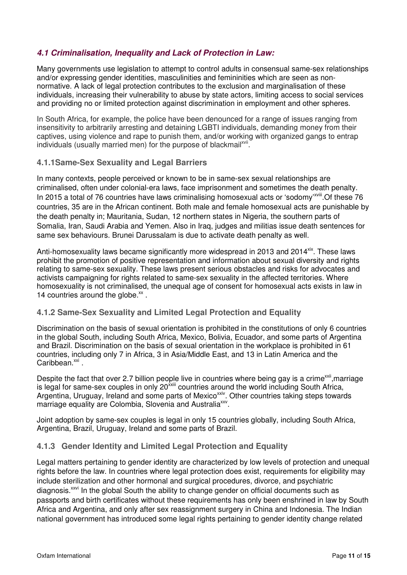#### **4.1 Criminalisation, Inequality and Lack of Protection in Law:**

Many governments use legislation to attempt to control adults in consensual same-sex relationships and/or expressing gender identities, masculinities and femininities which are seen as nonnormative. A lack of legal protection contributes to the exclusion and marginalisation of these individuals, increasing their vulnerability to abuse by state actors, limiting access to social services and providing no or limited protection against discrimination in employment and other spheres.

In South Africa, for example, the police have been denounced for a range of issues ranging from insensitivity to arbitrarily arresting and detaining LGBTI individuals, demanding money from their captives, using violence and rape to punish them, and/or working with organized gangs to entrap individuals (usually married men) for the purpose of blackmail<sup>xvii</sup>.

#### **4.1.1Same-Sex Sexuality and Legal Barriers**

In many contexts, people perceived or known to be in same-sex sexual relationships are criminalised, often under colonial-era laws, face imprisonment and sometimes the death penalty. In 2015 a total of 76 countries have laws criminalising homosexual acts or 'sodomy'<sup>xviii</sup>. Of these 76 countries, 35 are in the African continent. Both male and female homosexual acts are punishable by the death penalty in; Mauritania, Sudan, 12 northern states in Nigeria, the southern parts of Somalia, Iran, Saudi Arabia and Yemen. Also in Iraq, judges and militias issue death sentences for same sex behaviours. Brunei Darussalam is due to activate death penalty as well.

Anti-homosexuality laws became significantly more widespread in 2013 and 2014<sup>xix</sup>. These laws prohibit the promotion of positive representation and information about sexual diversity and rights relating to same-sex sexuality. These laws present serious obstacles and risks for advocates and activists campaigning for rights related to same-sex sexuality in the affected territories. Where homosexuality is not criminalised, the unequal age of consent for homosexual acts exists in law in 14 countries around the globe.<sup>xx</sup>.

#### **4.1.2 Same-Sex Sexuality and Limited Legal Protection and Equality**

Discrimination on the basis of sexual orientation is prohibited in the constitutions of only 6 countries in the global South, including South Africa, Mexico, Bolivia, Ecuador, and some parts of Argentina and Brazil. Discrimination on the basis of sexual orientation in the workplace is prohibited in 61 countries, including only 7 in Africa, 3 in Asia/Middle East, and 13 in Latin America and the Caribbean.<sup>xxi</sup>.

Despite the fact that over 2.7 billion people live in countries where being gay is a crime<sup>xxii</sup>, marriage is legal for same-sex couples in only 20xxiii countries around the world including South Africa, Argentina, Uruguay, Ireland and some parts of Mexico<sup>xxiv</sup>. Other countries taking steps towards marriage equality are Colombia, Slovenia and Australia<sup>xxv</sup>.

Joint adoption by same-sex couples is legal in only 15 countries globally, including South Africa, Argentina, Brazil, Uruguay, Ireland and some parts of Brazil.

#### **4.1.3 Gender Identity and Limited Legal Protection and Equality**

Legal matters pertaining to gender identity are characterized by low levels of protection and unequal rights before the law. In countries where legal protection does exist, requirements for eligibility may include sterilization and other hormonal and surgical procedures, divorce, and psychiatric diagnosis.<sup>xxvi</sup> In the global South the ability to change gender on official documents such as passports and birth certificates without these requirements has only been enshrined in law by South Africa and Argentina, and only after sex reassignment surgery in China and Indonesia. The Indian national government has introduced some legal rights pertaining to gender identity change related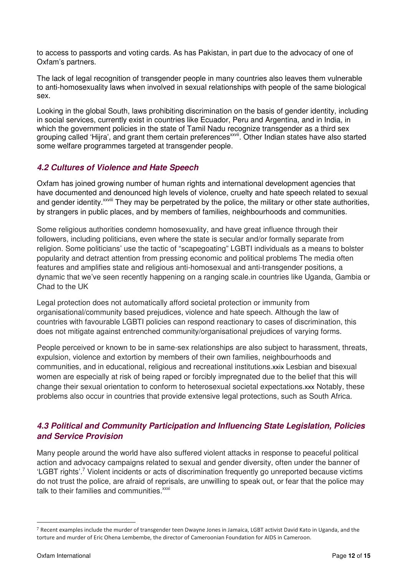to access to passports and voting cards. As has Pakistan, in part due to the advocacy of one of Oxfam's partners.

The lack of legal recognition of transgender people in many countries also leaves them vulnerable to anti-homosexuality laws when involved in sexual relationships with people of the same biological sex.

Looking in the global South, laws prohibiting discrimination on the basis of gender identity, including in social services, currently exist in countries like Ecuador, Peru and Argentina, and in India, in which the government policies in the state of Tamil Nadu recognize transgender as a third sex grouping called 'Hijra', and grant them certain preferences<sup>xxvii</sup>. Other Indian states have also started some welfare programmes targeted at transgender people.

#### **4.2 Cultures of Violence and Hate Speech**

Oxfam has joined growing number of human rights and international development agencies that have documented and denounced high levels of violence, cruelty and hate speech related to sexual and gender identity.<sup>xxviii</sup> They may be perpetrated by the police, the military or other state authorities, by strangers in public places, and by members of families, neighbourhoods and communities.

Some religious authorities condemn homosexuality, and have great influence through their followers, including politicians, even where the state is secular and/or formally separate from religion. Some politicians' use the tactic of "scapegoating" LGBTI individuals as a means to bolster popularity and detract attention from pressing economic and political problems The media often features and amplifies state and religious anti-homosexual and anti-transgender positions, a dynamic that we've seen recently happening on a ranging scale.in countries like Uganda, Gambia or Chad to the UK

Legal protection does not automatically afford societal protection or immunity from organisational/community based prejudices, violence and hate speech. Although the law of countries with favourable LGBTI policies can respond reactionary to cases of discrimination, this does not mitigate against entrenched community/organisational prejudices of varying forms.

People perceived or known to be in same-sex relationships are also subject to harassment, threats, expulsion, violence and extortion by members of their own families, neighbourhoods and communities, and in educational, religious and recreational institutions.xxix Lesbian and bisexual women are especially at risk of being raped or forcibly impregnated due to the belief that this will change their sexual orientation to conform to heterosexual societal expectations.xxx Notably, these problems also occur in countries that provide extensive legal protections, such as South Africa.

#### **4.3 Political and Community Participation and Influencing State Legislation, Policies and Service Provision**

Many people around the world have also suffered violent attacks in response to peaceful political action and advocacy campaigns related to sexual and gender diversity, often under the banner of 'LGBT rights'.<sup>7</sup> Violent incidents or acts of discrimination frequently go unreported because victims do not trust the police, are afraid of reprisals, are unwilling to speak out, or fear that the police may talk to their families and communities.<sup>xxxi</sup>

 $\overline{a}$ 

<sup>7</sup> Recent examples include the murder of transgender teen Dwayne Jones in Jamaica, LGBT activist David Kato in Uganda, and the torture and murder of Eric Ohena Lembembe, the director of Cameroonian Foundation for AIDS in Cameroon.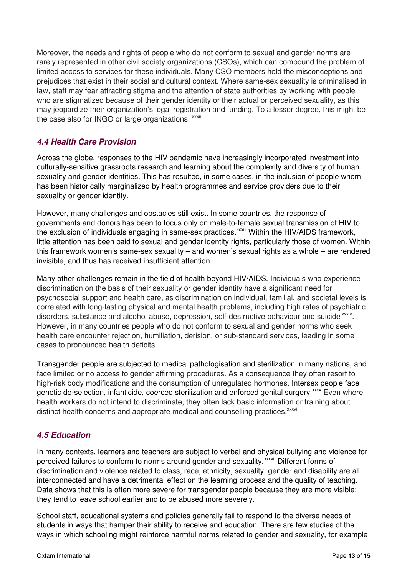Moreover, the needs and rights of people who do not conform to sexual and gender norms are rarely represented in other civil society organizations (CSOs), which can compound the problem of limited access to services for these individuals. Many CSO members hold the misconceptions and prejudices that exist in their social and cultural context. Where same-sex sexuality is criminalised in law, staff may fear attracting stigma and the attention of state authorities by working with people who are stigmatized because of their gender identity or their actual or perceived sexuality, as this may jeopardize their organization's legal registration and funding. To a lesser degree, this might be the case also for INGO or large organizations. **xxxii** 

#### **4.4 Health Care Provision**

Across the globe, responses to the HIV pandemic have increasingly incorporated investment into culturally-sensitive grassroots research and learning about the complexity and diversity of human sexuality and gender identities. This has resulted, in some cases, in the inclusion of people whom has been historically marginalized by health programmes and service providers due to their sexuality or gender identity.

However, many challenges and obstacles still exist. In some countries, the response of governments and donors has been to focus only on male-to-female sexual transmission of HIV to the exclusion of individuals engaging in same-sex practices.<sup>xxxiii</sup> Within the HIV/AIDS framework, little attention has been paid to sexual and gender identity rights, particularly those of women. Within this framework women's same-sex sexuality – and women's sexual rights as a whole – are rendered invisible, and thus has received insufficient attention.

Many other challenges remain in the field of health beyond HIV/AIDS. Individuals who experience discrimination on the basis of their sexuality or gender identity have a significant need for psychosocial support and health care, as discrimination on individual, familial, and societal levels is correlated with long-lasting physical and mental health problems, including high rates of psychiatric disorders, substance and alcohol abuse, depression, self-destructive behaviour and suicide xxxiv. However, in many countries people who do not conform to sexual and gender norms who seek health care encounter rejection, humiliation, derision, or sub-standard services, leading in some cases to pronounced health deficits.

Transgender people are subjected to medical pathologisation and sterilization in many nations, and face limited or no access to gender affirming procedures. As a consequence they often resort to high-risk body modifications and the consumption of unregulated hormones. Intersex people face genetic de-selection, infanticide, coerced sterilization and enforced genital surgery.<sup>xxxv</sup> Even where health workers do not intend to discriminate, they often lack basic information or training about distinct health concerns and appropriate medical and counselling practices.<sup>xxxvi</sup>

#### **4.5 Education**

In many contexts, learners and teachers are subject to verbal and physical bullying and violence for perceived failures to conform to norms around gender and sexuality.<sup>xxxvii</sup> Different forms of discrimination and violence related to class, race, ethnicity, sexuality, gender and disability are all interconnected and have a detrimental effect on the learning process and the quality of teaching. Data shows that this is often more severe for transgender people because they are more visible; they tend to leave school earlier and to be abused more severely.

School staff, educational systems and policies generally fail to respond to the diverse needs of students in ways that hamper their ability to receive and education. There are few studies of the ways in which schooling might reinforce harmful norms related to gender and sexuality, for example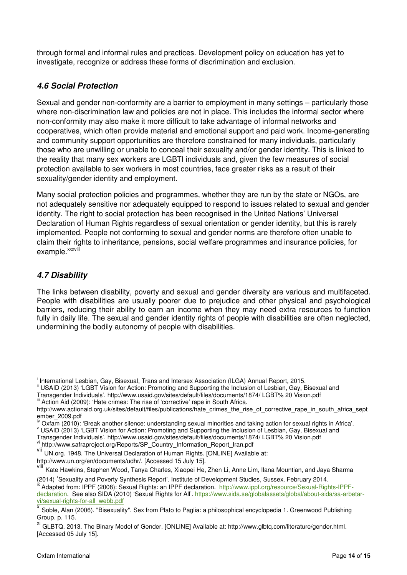through formal and informal rules and practices. Development policy on education has yet to investigate, recognize or address these forms of discrimination and exclusion.

### **4.6 Social Protection**

Sexual and gender non-conformity are a barrier to employment in many settings – particularly those where non-discrimination law and policies are not in place. This includes the informal sector where non-conformity may also make it more difficult to take advantage of informal networks and cooperatives, which often provide material and emotional support and paid work. Income-generating and community support opportunities are therefore constrained for many individuals, particularly those who are unwilling or unable to conceal their sexuality and/or gender identity. This is linked to the reality that many sex workers are LGBTI individuals and, given the few measures of social protection available to sex workers in most countries, face greater risks as a result of their sexuality/gender identity and employment.

Many social protection policies and programmes, whether they are run by the state or NGOs, are not adequately sensitive nor adequately equipped to respond to issues related to sexual and gender identity. The right to social protection has been recognised in the United Nations' Universal Declaration of Human Rights regardless of sexual orientation or gender identity, but this is rarely implemented. People not conforming to sexual and gender norms are therefore often unable to claim their rights to inheritance, pensions, social welfare programmes and insurance policies, for example.<sup>xxxviii</sup>

### **4.7 Disability**

The links between disability, poverty and sexual and gender diversity are various and multifaceted. People with disabilities are usually poorer due to prejudice and other physical and psychological barriers, reducing their ability to earn an income when they may need extra resources to function fully in daily life. The sexual and gender identity rights of people with disabilities are often neglected, undermining the bodily autonomy of people with disabilities.

http://www.un.org/en/documents/udhr/. [Accessed 15 July 15].

(2014) 'Sexuality and Poverty Synthesis Report'. Institute of Development Studies, Sussex, February 2014.

 $\overline{\phantom{a}}$ i International Lesbian, Gay, Bisexual, Trans and Intersex Association (ILGA) Annual Report, 2015.

<sup>&</sup>lt;sup>ii</sup> USAID (2013) 'LGBT Vision for Action: Promoting and Supporting the Inclusion of Lesbian, Gay, Bisexual and

Transgender Individuals'. http://www.usaid.gov/sites/default/files/documents/1874/ LGBT% 20 Vision.pdf iii Action Aid (2009): 'Hate crimes: The rise of 'corrective' rape in South Africa.

http://www.actionaid.org.uk/sites/default/files/publications/hate\_crimes\_the\_rise\_of\_corrective\_rape\_in\_south\_africa\_sept ember\_2009.pdf

iv Oxfam (2010): 'Break another silence: understanding sexual minorities and taking action for sexual rights in Africa'.

v USAID (2013) 'LGBT Vision for Action: Promoting and Supporting the Inclusion of Lesbian, Gay, Bisexual and Transgender Individuals'. http://www.usaid.gov/sites/default/files/documents/1874/ LGBT% 20 Vision.pdf<br>N http://www.usaid.gov/sites/default/files/documents/1874/ LGBT% 20 Vision.pdf http://www.safraproject.org/Reports/SP\_Country\_Information\_Report\_Iran.pdf

vii UN.org. 1948. The Universal Declaration of Human Rights. [ONLINE] Available at:

viii Kate Hawkins, Stephen Wood, Tanya Charles, Xiaopei He, Zhen Li, Anne Lim, Ilana Mountian, and Jaya Sharma

<sup>&</sup>lt;sup>ix</sup> Adapted from: IPPF (2008): Sexual Rights: an IPPF declaration. http://www.ippf.org/resource/Sexual-Rights-IPPFdeclaration. See also SIDA (2010) 'Sexual Rights for All'. https://www.sida.se/globalassets/global/about-sida/sa-arbetarvi/sexual-rights-for-all\_webb.pdf

x Soble, Alan (2006). "Bisexuality". Sex from Plato to Paglia: a philosophical encyclopedia 1. Greenwood Publishing Group. p. 115.

xi GLBTQ. 2013. The Binary Model of Gender. [ONLINE] Available at: http://www.glbtq.com/literature/gender.html. [Accessed 05 July 15].